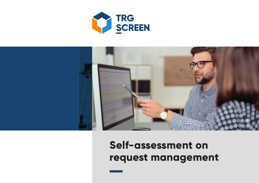



# **Self-assessment on request management**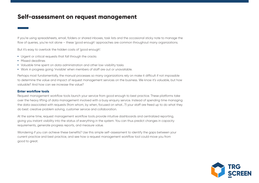# **Self-assessment on request management**

If you're using spreadsheets, email, folders or shared inboxes, task lists and the occasional sticky note to manage the flow of queries, you're not alone – these 'good enough' approaches are common throughout many organizations.

But it's easy to overlook the hidden costs of 'good enough':

- **•** Urgent or critical requests that fall through the cracks
- **•** Missed deadlines
- **•** Valuable time spent on data administration and other low-visibility tasks
- **•** Work in progress going 'invisible' when members of staff are out or unavailable.

Perhaps most fundamentally, the manual processes so many organizations rely on make it difficult if not impossible to determine the value and impact of request management services on the business. We know it's valuable, but how valuable? And how can we increase the value?

## **Enter workflow tools**

Request management workflow tools launch your service from good enough to best practice. These platforms take over the heavy lifting of data management involved with a busy enquiry service. Instead of spending time managing the data associated with requests (from whom, by when, focused on what…?) your staff are freed up to do what they do best: creative problem solving, customer service and collaboration.

At the same time, request management workflow tools provide intuitive dashboards and centralized reporting, giving you instant visibility into the status of everything in the system. You can thus predict changes in capacity requirements, generate progress reports, and measure value.

Wondering if you can achieve these benefits? Use this simple self-assessment to identify the gaps between your current practice and best practice, and see how a request management workflow tool could move you from good to great.

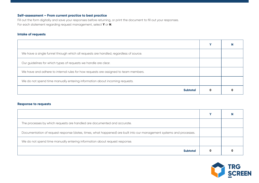## **Self-assessment – From current practice to best practice**

Fill out the form digitally and save your responses before returning, or print the document to fill out your responses. For each statement regarding request management, select **Y** or **N**.

#### **Intake of requests**

|                                                                                       | v |  |
|---------------------------------------------------------------------------------------|---|--|
| We have a single funnel through which all requests are handled, regardless of source. |   |  |
| Our guidelines for which types of requests we handle are clear.                       |   |  |
| We have and adhere to internal rules for how requests are assigned to team members.   |   |  |
| We do not spend time manually entering information about incoming requests.           |   |  |
| <b>Subtotal</b>                                                                       | 0 |  |

## **Response to requests**

| The processes by which requests are handled are documented and accurate.                                             |  |  |
|----------------------------------------------------------------------------------------------------------------------|--|--|
| Documentation of request response (dates, times, what happened) are built into our management systems and processes. |  |  |
| We do not spend time manually entering information about request response.                                           |  |  |
| <b>Subtotal</b>                                                                                                      |  |  |

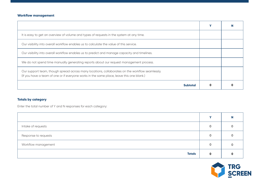# **Workflow management**

|                                                                                                                                                                                              | v |  |
|----------------------------------------------------------------------------------------------------------------------------------------------------------------------------------------------|---|--|
| It is easy to get an overview of volume and types of requests in the system at any time.                                                                                                     |   |  |
| Our visibility into overall workflow enables us to calculate the value of this service.                                                                                                      |   |  |
| Our visibility into overall workflow enables us to predict and manage capacity and timelines.                                                                                                |   |  |
| We do not spend time manually generating reports about our request management process.                                                                                                       |   |  |
| Our support team, though spread across many locations, collaborates on the workflow seamlessly.<br>(If you have a team of one or if everyone works in the same place, leave this one blank.) |   |  |
| <b>Subtotal</b>                                                                                                                                                                              |   |  |

# **Totals by category**

Enter the total number of Y and N responses for each category:

|                      | v |  |
|----------------------|---|--|
| Intake of requests   |   |  |
| Response to requests |   |  |
| Workflow management  |   |  |
| <b>Totals</b>        |   |  |

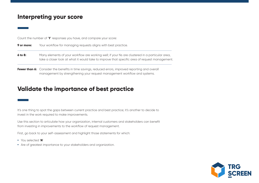# **Interpreting your score**

Count the number of '**Y**' responses you have, and compare your score:

| 9 or more: | Your workflow for managing requests aligns with best practice.                                                                                                                                   |  |
|------------|--------------------------------------------------------------------------------------------------------------------------------------------------------------------------------------------------|--|
| $6$ to 8:  | Many elements of your workflow are working well; if your Ns are clustered in a particular area,<br>take a closer look at what it would take to improve that specific area of request management. |  |
|            | Fewer than 6: Consider the benefits in time savings, reduced errors, improved reporting and overall                                                                                              |  |

management by strengthening your request management workflow and systems.

**Validate the importance of best practice**

It's one thing to spot the gaps between current practice and best practice; it's another to decide to invest in the work required to make improvements.

Use this section to articulate how your organization, internal customers and stakeholders can benefit from investing in improvements to the workflow of request management.

First, go back to your self-assessment and highlight those statements for which:

- **•** You selected '**N**'
- **•** Are of greatest importance to your stakeholders and organization.

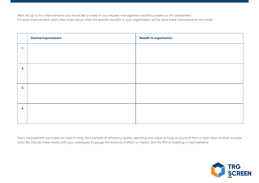Next, list up to four improvements you would like to make to your request management workflow, based on this assessment. For each improvement, add a few notes about what the specific benefits to your organization will be once these improvements are made.

|                         | <b>Desired improvement</b> | <b>Benefit to organization</b> |
|-------------------------|----------------------------|--------------------------------|
| ч                       |                            |                                |
|                         |                            |                                |
| $\overline{\mathbf{2}}$ |                            |                                |
|                         |                            |                                |
| 3                       |                            |                                |
|                         |                            |                                |
| 4                       |                            |                                |
|                         |                            |                                |

Every improvement you make can lead to long-term benefits of efficiency, quality, reporting and value, as long as you work from a clear vision of what 'success' looks like. Discuss these results with your colleagues to gauge the balance of effort vs. impact and the ROI of investing in improvements.